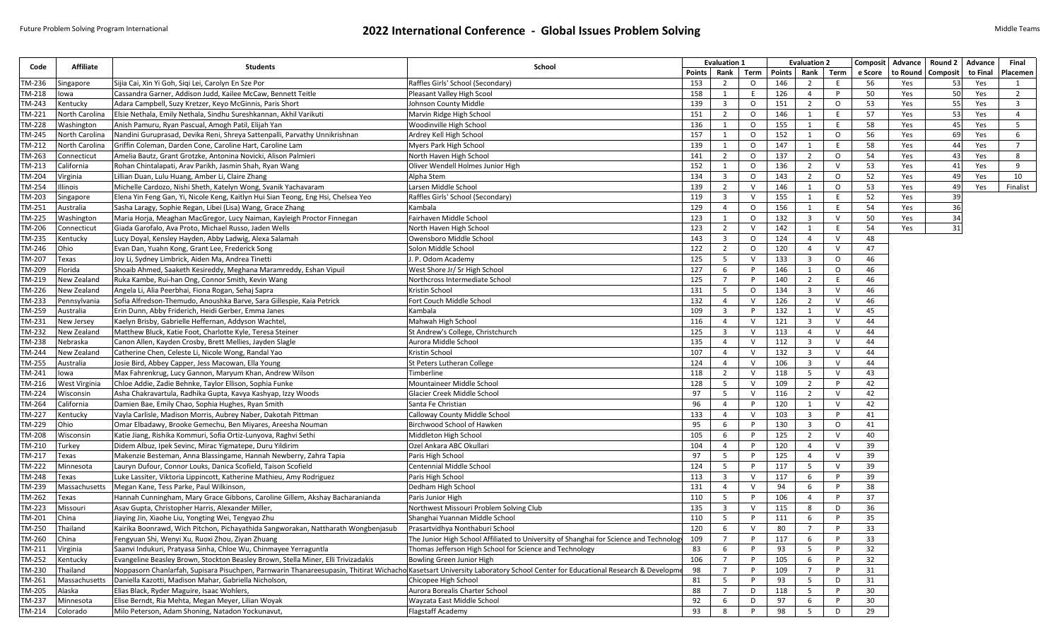## Future Problem Solving Program International **2022 International Conference - Global Issues Problem Solving Middle Teams** Middle Teams

| Code   | <b>Affiliate</b> | <b>Students</b>                                                                                                                                                           | School                                                                                 | <b>Evaluation 1</b> |                         |         |        | <b>Evaluation 2</b>     |              |         | Composit Advance | Round 2   Advance |          | Final                   |
|--------|------------------|---------------------------------------------------------------------------------------------------------------------------------------------------------------------------|----------------------------------------------------------------------------------------|---------------------|-------------------------|---------|--------|-------------------------|--------------|---------|------------------|-------------------|----------|-------------------------|
|        |                  |                                                                                                                                                                           |                                                                                        | Points              | Rank                    | Term    | Points | Rank                    | Term         | e Score | to Round         | Composit          | to Final | Placemen                |
| TM-236 | Singapore        | Sijia Cai, Xin Yi Goh, Sigi Lei, Carolyn En Sze Por                                                                                                                       | Raffles Girls' School (Secondary)                                                      | 153                 | $\overline{2}$          | $\circ$ | 146    | $\overline{2}$          | E.           | 56      | Yes              | 53                | Yes      | 1                       |
| TM-218 | lowa             | Cassandra Garner, Addison Judd, Kailee McCaw, Bennett Teitle                                                                                                              | Pleasant Valley High Scool                                                             | 158                 | 1                       | E.      | 126    | $\overline{4}$          | P.           | 50      | Yes              | 50                | Yes      | $\overline{2}$          |
| TM-243 | Kentucky         | Adara Campbell, Suzy Kretzer, Keyo McGinnis, Paris Short                                                                                                                  | Johnson County Middle                                                                  | 139                 | $\overline{\mathbf{3}}$ | $\circ$ | 151    | $\overline{2}$          | $\circ$      | 53      | Yes              | 55                | Yes      | $\overline{\mathbf{3}}$ |
| TM-221 | North Carolina   | Elsie Nethala, Emily Nethala, Sindhu Sureshkannan, Akhil Varikuti                                                                                                         | Marvin Ridge High School                                                               | 151                 | $\overline{2}$          | $\circ$ | 146    | 1                       | E            | 57      | Yes              | 53                | Yes      | $\overline{4}$          |
| TM-228 | Washington       | Anish Pamuru, Ryan Pascual, Amogh Patil, Elijah Yan                                                                                                                       | Woodinville High School                                                                | 136                 | 1                       | $\circ$ | 155    | 1                       | E            | 58      | Yes              | 45                | Yes      | 5                       |
| TM-245 | North Carolina   | Nandini Guruprasad, Devika Reni, Shreya Sattenpalli, Parvathy Unnikrishnan                                                                                                | Ardrey Kell High School                                                                | 157                 | 1                       | $\circ$ | 152    | $\mathbf{1}$            | $\mathsf{o}$ | 56      | Yes              | 69                | Yes      | 6                       |
| TM-212 | North Carolina   | Griffin Coleman, Darden Cone, Caroline Hart, Caroline Lam                                                                                                                 | Myers Park High School                                                                 | 139                 | 1                       | $\circ$ | 147    | 1                       | E            | 58      | Yes              | 44                | Yes      | 7                       |
| TM-263 | Connecticut      | Amelia Bautz, Grant Grotzke, Antonina Novicki, Alison Palmieri                                                                                                            | North Haven High School                                                                | 141                 | $\overline{2}$          | $\circ$ | 137    | 2                       | $\circ$      | 54      | Yes              | 43                | Yes      | 8                       |
| TM-213 | California       | Rohan Chintalapati, Arav Parikh, Jasmin Shah, Ryan Wang                                                                                                                   | Oliver Wendell Holmes Junior High                                                      | 152                 | 1                       | $\circ$ | 136    | $\overline{2}$          | $\vee$       | 53      | Yes              | 41                | Yes      | 9                       |
| TM-204 | Virginia         | Lillian Duan, Lulu Huang, Amber Li, Claire Zhang                                                                                                                          | Alpha Stem                                                                             | 134                 | $\overline{\mathbf{3}}$ | $\circ$ | 143    | $\overline{2}$          | $\circ$      | 52      | Yes              | 49                | Yes      | 10                      |
| TM-254 | Illinois         | Michelle Cardozo, Nishi Sheth, Katelyn Wong, Svanik Yachavaram                                                                                                            | Larsen Middle School                                                                   | 139                 | $\overline{2}$          | V       | 146    | 1                       | $\circ$      | 53      | Yes              | 49                | Yes      | Finalist                |
| TM-203 | Singapore        | Elena Yin Feng Gan, Yi, Nicole Keng, Kaitlyn Hui Sian Teong, Eng Hsi, Chelsea Yeo                                                                                         | Raffles Girls' School (Secondary)                                                      | 119                 | $\overline{\mathbf{3}}$ | V       | 155    | 1                       | E.           | 52      | Yes              | 39                |          |                         |
| TM-251 | Australia        | Sasha Laragy, Sophie Regan, Libei (Lisa) Wang, Grace Zhang                                                                                                                | Kambala                                                                                | 129                 | $\overline{4}$          | $\circ$ | 156    | 1                       | E            | 54      | Yes              | 36                |          |                         |
| TM-225 | Washington       | Maria Horja, Meaghan MacGregor, Lucy Naiman, Kayleigh Proctor Finnegan                                                                                                    | Fairhaven Middle School                                                                | 123                 | 1                       | $\circ$ | 132    | $\overline{\mathbf{3}}$ | V            | 50      | Yes              | 34                |          |                         |
| TM-206 | Connecticut      | Giada Garofalo, Ava Proto, Michael Russo, Jaden Wells                                                                                                                     | North Haven High School                                                                | 123                 | $\overline{2}$          | $\vee$  | 142    | 1                       | E            | 54      | Yes              | 31                |          |                         |
| TM-235 | Kentucky         | Lucy Doyal, Kensley Hayden, Abby Ladwig, Alexa Salamah                                                                                                                    | Owensboro Middle School                                                                | 143                 | $\overline{\mathbf{3}}$ | $\circ$ | 124    | $\overline{4}$          | $\vee$       | 48      |                  |                   |          |                         |
| TM-246 | Ohio             | Evan Dan, Yuahn Kong, Grant Lee, Frederick Song                                                                                                                           | Solon Middle School                                                                    | 122                 | $\overline{2}$          | $\circ$ | 120    | $\overline{4}$          | $\vee$       | 47      |                  |                   |          |                         |
| TM-207 | Texas            | Joy Li, Sydney Limbrick, Aiden Ma, Andrea Tinetti                                                                                                                         | J. P. Odom Academy                                                                     | 125                 | 5                       | $\vee$  | 133    | $\overline{\mathbf{3}}$ | $\circ$      | 46      |                  |                   |          |                         |
| TM-209 | Florida          | Shoaib Ahmed, Saaketh Kesireddy, Meghana Maramreddy, Eshan Vipuil                                                                                                         | West Shore Jr/ Sr High School                                                          | 127                 | 6                       | P       | 146    | 1                       | $\circ$      | 46      |                  |                   |          |                         |
| TM-219 | New Zealand      | Ruka Kambe, Rui-han Ong, Connor Smith, Kevin Wang                                                                                                                         | Northcross Intermediate School                                                         | 125                 | $7\overline{ }$         | P       | 140    | $\overline{2}$          | E            | 46      |                  |                   |          |                         |
| TM-226 | New Zealand      | Angela Li, Alia Peerbhai, Fiona Rogan, Sehaj Sapra                                                                                                                        | Kristin School                                                                         | 131                 | 5                       | $\circ$ | 134    | $\overline{3}$          | $\vee$       | 46      |                  |                   |          |                         |
| TM-233 | Pennsylvania     | Sofia Alfredson-Themudo, Anoushka Barve, Sara Gillespie, Kaia Petrick                                                                                                     | Fort Couch Middle School                                                               | 132                 | 4                       | $\vee$  | 126    | $\overline{2}$          | $\vee$       | 46      |                  |                   |          |                         |
| TM-259 | Australia        | Erin Dunn, Abby Friderich, Heidi Gerber, Emma Janes                                                                                                                       | Kambala                                                                                | 109                 | $\overline{\mathbf{3}}$ |         | 132    | 1                       | $\vee$       | 45      |                  |                   |          |                         |
| TM-231 | New Jersey       | Kaelyn Brisby, Gabrielle Heffernan, Addyson Wachtel                                                                                                                       | Mahwah High School                                                                     | 116                 | $\overline{4}$          | $\vee$  | 121    | $\overline{3}$          | $\vee$       | 44      |                  |                   |          |                         |
| TM-232 | New Zealand      | Matthew Bluck, Katie Foot, Charlotte Kyle, Teresa Steiner                                                                                                                 | St Andrew's College, Christchurch                                                      | 125                 | $\overline{\mathbf{3}}$ | V       | 113    | $\overline{4}$          | $\vee$       | 44      |                  |                   |          |                         |
| TM-238 | Nebraska         | Canon Allen, Kayden Crosby, Brett Mellies, Jayden Slagle                                                                                                                  | Aurora Middle School                                                                   | 135                 | $\overline{4}$          | $\vee$  | 112    | $\overline{\mathbf{3}}$ | $\vee$       | 44      |                  |                   |          |                         |
| TM-244 | New Zealand      | Catherine Chen, Celeste Li, Nicole Wong, Randal Yao                                                                                                                       | Kristin School                                                                         | 107                 | $\overline{4}$          | V       | 132    | $\overline{\mathbf{3}}$ | $\vee$       | 44      |                  |                   |          |                         |
| TM-255 | Australia        | Josie Bird, Abbey Capper, Jess Macowan, Ella Young                                                                                                                        | St Peters Lutheran College                                                             | 124                 | 4                       | V       | 106    | $\overline{\mathbf{3}}$ | $\vee$       | 44      |                  |                   |          |                         |
| TM-241 | lowa             | Max Fahrenkrug, Lucy Gannon, Maryum Khan, Andrew Wilson                                                                                                                   | Timberline                                                                             | 118                 | $\overline{2}$          | $\vee$  | 118    | 5                       | $\vee$       | 43      |                  |                   |          |                         |
| TM-216 | West Virginia    | Chloe Addie, Zadie Behnke, Taylor Ellison, Sophia Funke                                                                                                                   | Mountaineer Middle School                                                              | 128                 | 5                       | V       | 109    | $\overline{2}$          | P            | 42      |                  |                   |          |                         |
| TM-224 | Wisconsin        | Asha Chakravartula, Radhika Gupta, Kavya Kashyap, Izzy Woods                                                                                                              | Glacier Creek Middle School                                                            | 97                  | 5                       | $\vee$  | 116    | $\overline{2}$          | $\vee$       | 42      |                  |                   |          |                         |
| TM-264 | California       | Damien Bae, Emily Chao, Sophia Hughes, Ryan Smith                                                                                                                         | Santa Fe Christian                                                                     | 96                  | $\overline{4}$          | P       | 120    | 1                       | $\vee$       | 42      |                  |                   |          |                         |
| TM-227 | Kentucky         | Vayla Carlisle, Madison Morris, Aubrey Naber, Dakotah Pittman                                                                                                             | Calloway County Middle School                                                          | 133                 | $\overline{4}$          | V       | 103    | $\overline{\mathbf{3}}$ | P            | 41      |                  |                   |          |                         |
| TM-229 | Ohio             | Omar Elbadawy, Brooke Gemechu, Ben Miyares, Areesha Nouman                                                                                                                | Birchwood School of Hawken                                                             | 95                  | 6                       |         | 130    | $\overline{\mathbf{3}}$ | $\circ$      | 41      |                  |                   |          |                         |
| TM-208 | Wisconsin        | Katie Jiang, Rishika Kommuri, Sofia Ortiz-Lunyova, Raghvi Sethi                                                                                                           | Middleton High School                                                                  | 105                 | 6                       | P       | 125    | $\overline{2}$          | $\vee$       | 40      |                  |                   |          |                         |
| TM-210 | Turkey           | Didem Albuz, Ipek Sevinc, Mirac Yigmatepe, Duru Yildirim                                                                                                                  | Ozel Ankara ABC Okullari                                                               | 104                 | 4                       |         | 120    | $\overline{4}$          | $\vee$       | 39      |                  |                   |          |                         |
| TM-217 | Texas            | Makenzie Besteman, Anna Blassingame, Hannah Newberry, Zahra Tapia                                                                                                         | Paris High School                                                                      | 97                  | - 5                     |         | 125    | $\overline{4}$          | $\vee$       | 39      |                  |                   |          |                         |
| TM-222 | Minnesota        | Lauryn Dufour, Connor Louks, Danica Scofield, Taison Scofield                                                                                                             | Centennial Middle School                                                               | 124                 | 5                       | P       | 117    | 5                       | $\vee$       | 39      |                  |                   |          |                         |
| TM-248 | Texas            | Luke Lassiter, Viktoria Lippincott, Katherine Mathieu, Amy Rodriguez                                                                                                      | Paris High School                                                                      | 113                 | $\overline{\mathbf{3}}$ | V       | 117    | 6                       | P            | 39      |                  |                   |          |                         |
| TM-239 | Massachusetts    | Megan Kane, Tess Parke, Paul Wilkinson,                                                                                                                                   | Dedham High School                                                                     | 131                 | $\overline{4}$          | $\vee$  | 94     | 6                       | P            | 38      |                  |                   |          |                         |
| TM-262 | Texas            | Hannah Cunningham, Mary Grace Gibbons, Caroline Gillem, Akshay Bacharanianda                                                                                              | Paris Junior High                                                                      | 110                 | - 5                     | P       | 106    | $\overline{4}$          | P.           | 37      |                  |                   |          |                         |
| TM-223 | Missouri         | Asav Gupta, Christopher Harris, Alexander Miller,                                                                                                                         | Northwest Missouri Problem Solving Club                                                | 135                 | $\overline{\mathbf{3}}$ | V       | 115    | 8                       | D            | 36      |                  |                   |          |                         |
| TM-201 | China            | Jiaying Jin, Xiaohe Liu, Yongting Wei, Tengyao Zhu                                                                                                                        | Shanghai Yuannan Middle School                                                         | 110                 | 5                       | P       | 111    | 6                       | P            | 35      |                  |                   |          |                         |
| TM-250 | Thailand         | Kairika Boonrawd, Wich Pitchon, Pichayathida Sangworakan, Nattharath Wongbenjasub                                                                                         | Prasartvidhya Nonthaburi School                                                        | 120                 | 6                       | V       | 80     | $\overline{7}$          | P            | 33      |                  |                   |          |                         |
| TM-260 | China            | Fengyuan Shi, Wenyi Xu, Ruoxi Zhou, Ziyan Zhuang                                                                                                                          | The Junior High School Affiliated to University of Shanghai for Science and Technology | 109                 | $\overline{7}$          | P.      | 117    | 6                       | P            | 33      |                  |                   |          |                         |
| TM-211 | Virginia         | Saanvi Indukuri, Pratyasa Sinha, Chloe Wu, Chinmayee Yerraguntla                                                                                                          | Thomas Jefferson High School for Science and Technology                                | 83                  | 6                       | P       | 93     | 5                       | P            | 32      |                  |                   |          |                         |
| TM-252 | Kentucky         | Evangeline Beasley Brown, Stockton Beasley Brown, Stella Miner, Elli Trivizadakis                                                                                         | Bowling Green Junior High                                                              | 106                 | $\overline{7}$          | P       | 105    | 6                       | P            | 32      |                  |                   |          |                         |
| TM-230 | Thailand         | Noppasorn Chanlarfah, Supisara Pisuchpen, Parnwarin Thanareesupasin, Thitirat Wichacho Kasetsart University Laboratory School Center for Educational Research & Developme |                                                                                        | 98                  | 7                       |         | 109    | 7                       | P.           | 31      |                  |                   |          |                         |
| TM-261 | Massachusetts    | Daniella Kazotti, Madison Mahar, Gabriella Nicholson,                                                                                                                     | Chicopee High School                                                                   | 81                  | $5\overline{)}$         | P       | 93     | 5                       | D            | 31      |                  |                   |          |                         |
| TM-205 | Alaska           | Elias Black, Ryder Maguire, Isaac Wohlers,                                                                                                                                | Aurora Borealis Charter School                                                         | 88                  | $7\overline{ }$         | D       | 118    | 5                       | P            | 30      |                  |                   |          |                         |
| TM-237 | Minnesota        | Elise Berndt, Ria Mehta, Megan Meyer, Lilian Woyak                                                                                                                        | Wayzata East Middle School                                                             | 92                  | 6                       | D       | 97     | 6                       | P            | 30      |                  |                   |          |                         |
| TM-214 | Colorado         | Milo Peterson, Adam Shoning, Natadon Yockunavut,                                                                                                                          | Flagstaff Academy                                                                      | 93                  | 8                       | P       | 98     | $5\overline{5}$         | D            | 29      |                  |                   |          |                         |